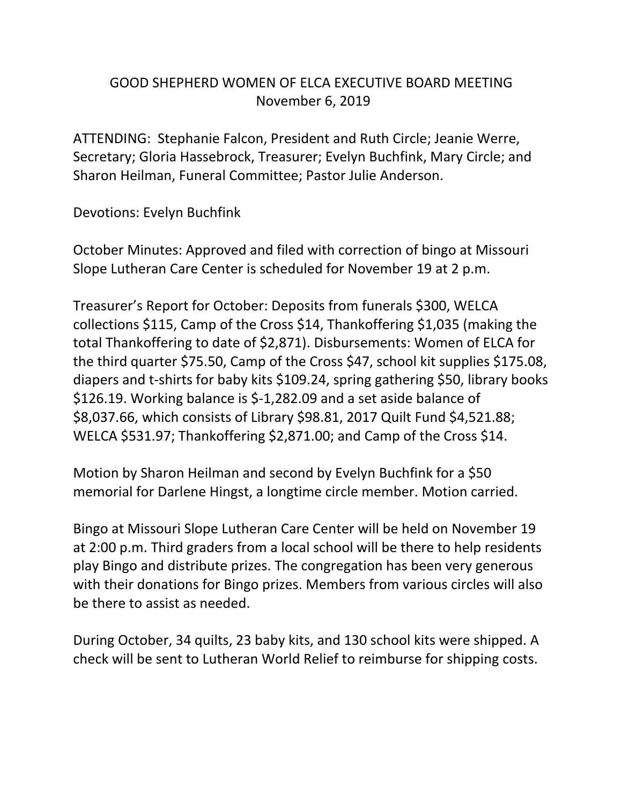## GOOD SHEPHERD WOMEN OF ELCA EXECUTIVE BOARD MEETING November 6, 2019

ATTENDING: Stephanie Falcon, President and Ruth Circle; Jeanie Werre, Secretary; Gloria Hassebrock, Treasurer; Evelyn Buchfink, Mary Circle; and Sharon Heilman, Funeral Committee; Pastor Julie Anderson.

Devotions: Evelyn Buchfink

October Minutes: Approved and filed with correction of bingo at Missouri Slope Lutheran Care Center is scheduled for November 19 at 2 p.m.

Treasurer's Report for October: Deposits from funerals \$300, WELCA collections \$115, Camp of the Cross \$14, Thankoffering \$1,035 (making the total Thankoffering to date of \$2,871). Disbursements: Women of ELCA for the third quarter \$75.50, Camp of the Cross \$47, school kit supplies \$175.08, diapers and t-shirts for baby kits \$109.24, spring gathering \$50, library books \$126.19. Working balance is \$-1,282.09 and a set aside balance of \$8,037.66, which consists of Library \$98.81, 2017 Quilt Fund \$4,521.88; WELCA \$531.97; Thankoffering \$2,871.00; and Camp of the Cross \$14.

Motion by Sharon Heilman and second by Evelyn Buchfink for a \$50 memorial for Darlene Hingst, a longtime circle member. Motion carried.

Bingo at Missouri Slope Lutheran Care Center will be held on November 19 at 2:00 p.m. Third graders from a local school will be there to help residents play Bingo and distribute prizes. The congregation has been very generous with their donations for Bingo prizes. Members from various circles will also be there to assist as needed.

During October, 34 quilts, 23 baby kits, and 130 school kits were shipped. A check will be sent to Lutheran World Relief to reimburse for shipping costs.